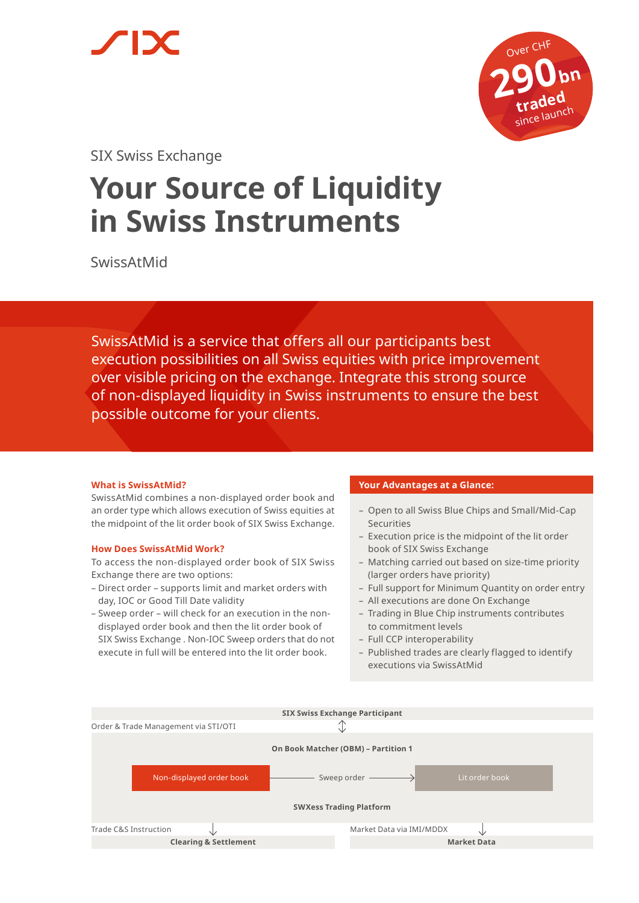



SIX Swiss Exchange

# **Your Source of Liquidity in Swiss Instruments**

SwissAtMid

SwissAtMid is a service that offers all our participants best execution possibilities on all Swiss equities with price improvement over visible pricing on the exchange. Integrate this strong source of non-displayed liquidity in Swiss instruments to ensure the best possible outcome for your clients.

# **What is SwissAtMid?**

SwissAtMid combines a non-displayed order book and an order type which allows execution of Swiss equities at the midpoint of the lit order book of SIX Swiss Exchange.

## **How Does SwissAtMid Work?**

To access the non-displayed order book of SIX Swiss Exchange there are two options:

- Direct order supports limit and market orders with day, IOC or Good Till Date validity
- Sweep order will check for an execution in the nondisplayed order book and then the lit order book of SIX Swiss Exchange . Non-IOC Sweep orders that do not execute in full will be entered into the lit order book.

# **Your Advantages at a Glance:**

- Open to all Swiss Blue Chips and Small/Mid-Cap Securities
- Execution price is the midpoint of the lit order book of SIX Swiss Exchange
- Matching carried out based on size-time priority (larger orders have priority)
- Full support for Minimum Quantity on order entry
- All executions are done On Exchange
- Trading in Blue Chip instruments contributes to commitment levels
- Full CCP interoperability
- Published trades are clearly flagged to identify executions via SwissAtMid